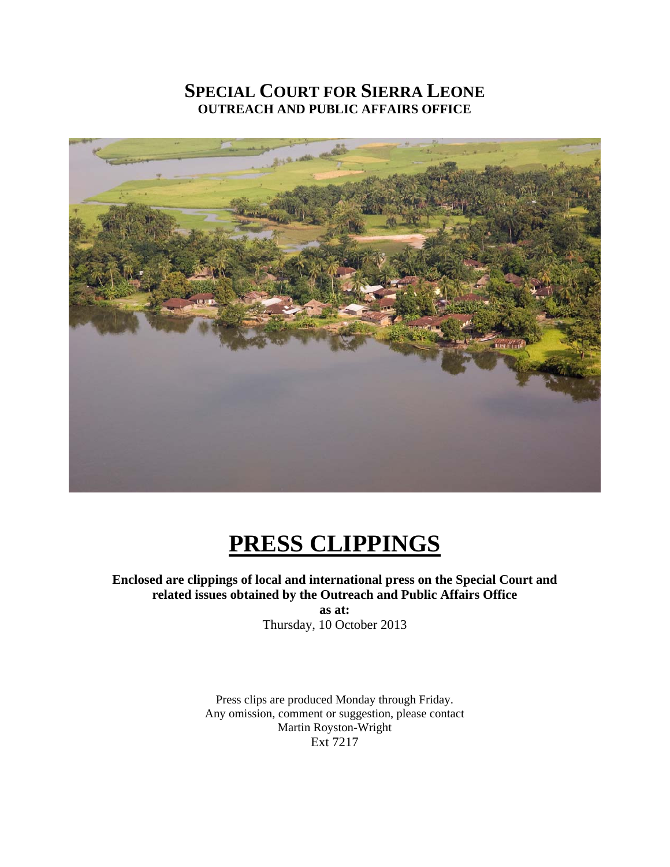# **SPECIAL COURT FOR SIERRA LEONE OUTREACH AND PUBLIC AFFAIRS OFFICE**



# **PRESS CLIPPINGS**

**Enclosed are clippings of local and international press on the Special Court and related issues obtained by the Outreach and Public Affairs Office as at:** 

Thursday, 10 October 2013

Press clips are produced Monday through Friday. Any omission, comment or suggestion, please contact Martin Royston-Wright Ext 7217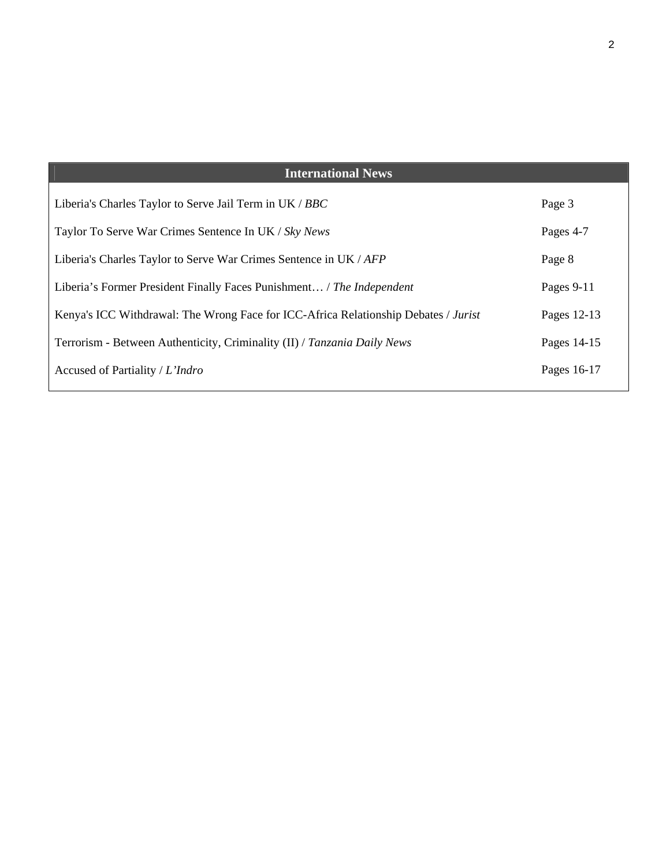| <b>International News</b>                                                           |             |
|-------------------------------------------------------------------------------------|-------------|
| Liberia's Charles Taylor to Serve Jail Term in UK / BBC                             | Page 3      |
| Taylor To Serve War Crimes Sentence In UK / Sky News                                | Pages 4-7   |
| Liberia's Charles Taylor to Serve War Crimes Sentence in UK / AFP                   | Page 8      |
| Liberia's Former President Finally Faces Punishment / The Independent               | Pages 9-11  |
| Kenya's ICC Withdrawal: The Wrong Face for ICC-Africa Relationship Debates / Jurist | Pages 12-13 |
| Terrorism - Between Authenticity, Criminality (II) / Tanzania Daily News            | Pages 14-15 |
| Accused of Partiality / L'Indro                                                     | Pages 16-17 |
|                                                                                     |             |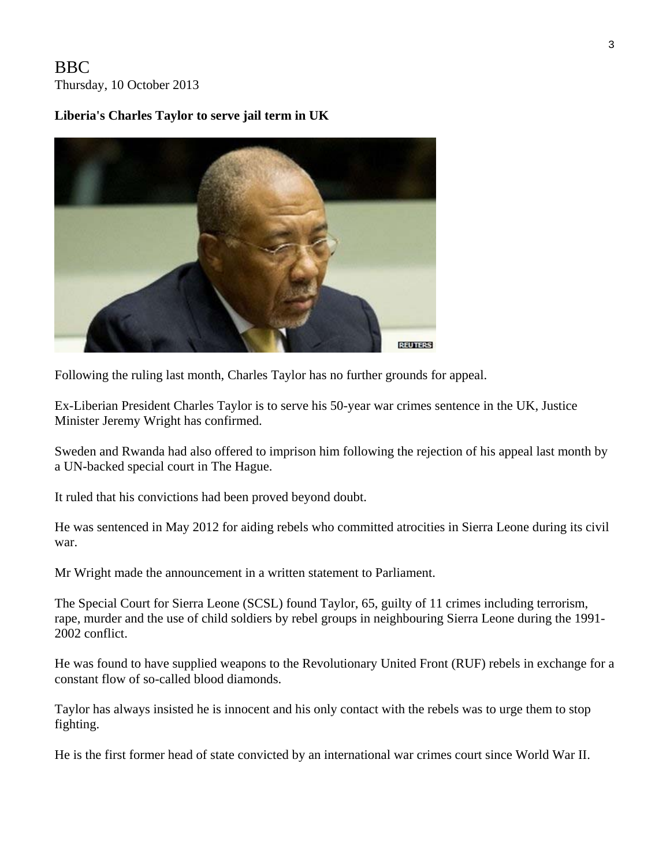## BBC Thursday, 10 October 2013

### **Liberia's Charles Taylor to serve jail term in UK**



Following the ruling last month, Charles Taylor has no further grounds for appeal.

Ex-Liberian President Charles Taylor is to serve his 50-year war crimes sentence in the UK, Justice Minister Jeremy Wright has confirmed.

Sweden and Rwanda had also offered to imprison him following the rejection of his appeal last month by a UN-backed special court in The Hague.

It ruled that his convictions had been proved beyond doubt.

He was sentenced in May 2012 for aiding rebels who committed atrocities in Sierra Leone during its civil war.

Mr Wright made the announcement in a written statement to Parliament.

The Special Court for Sierra Leone (SCSL) found Taylor, 65, guilty of 11 crimes including terrorism, rape, murder and the use of child soldiers by rebel groups in neighbouring Sierra Leone during the 1991- 2002 conflict.

He was found to have supplied weapons to the Revolutionary United Front (RUF) rebels in exchange for a constant flow of so-called blood diamonds.

Taylor has always insisted he is innocent and his only contact with the rebels was to urge them to stop fighting.

He is the first former head of state convicted by an international war crimes court since World War II.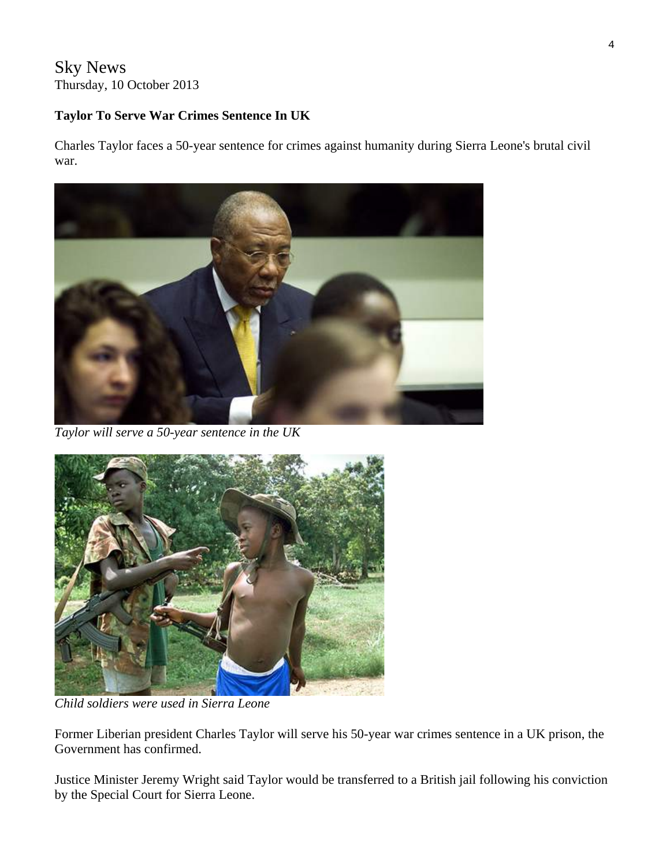## Sky News Thursday, 10 October 2013

#### **Taylor To Serve War Crimes Sentence In UK**

Charles Taylor faces a 50-year sentence for crimes against humanity during Sierra Leone's brutal civil war.



*Taylor will serve a 50-year sentence in the UK* 



*Child soldiers were used in Sierra Leone* 

Former Liberian president Charles Taylor will serve his 50-year war crimes sentence in a UK prison, the Government has confirmed.

Justice Minister Jeremy Wright said Taylor would be transferred to a British jail following his conviction by the Special Court for Sierra Leone.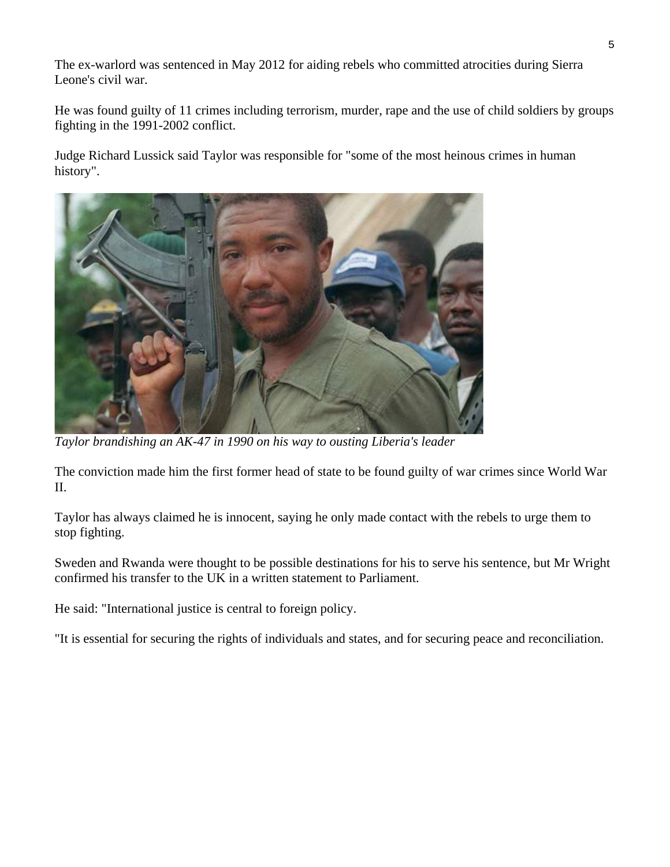The ex-warlord was sentenced in May 2012 for aiding rebels who committed atrocities during Sierra Leone's civil war.

He was found guilty of 11 crimes including terrorism, murder, rape and the use of child soldiers by groups fighting in the 1991-2002 conflict.

Judge Richard Lussick said Taylor was responsible for "some of the most heinous crimes in human history".



*Taylor brandishing an AK-47 in 1990 on his way to ousting Liberia's leader* 

The conviction made him the first former head of state to be found guilty of war crimes since World War II.

Taylor has always claimed he is innocent, saying he only made contact with the rebels to urge them to stop fighting.

Sweden and Rwanda were thought to be possible destinations for his to serve his sentence, but Mr Wright confirmed his transfer to the UK in a written statement to Parliament.

He said: "International justice is central to foreign policy.

"It is essential for securing the rights of individuals and states, and for securing peace and reconciliation.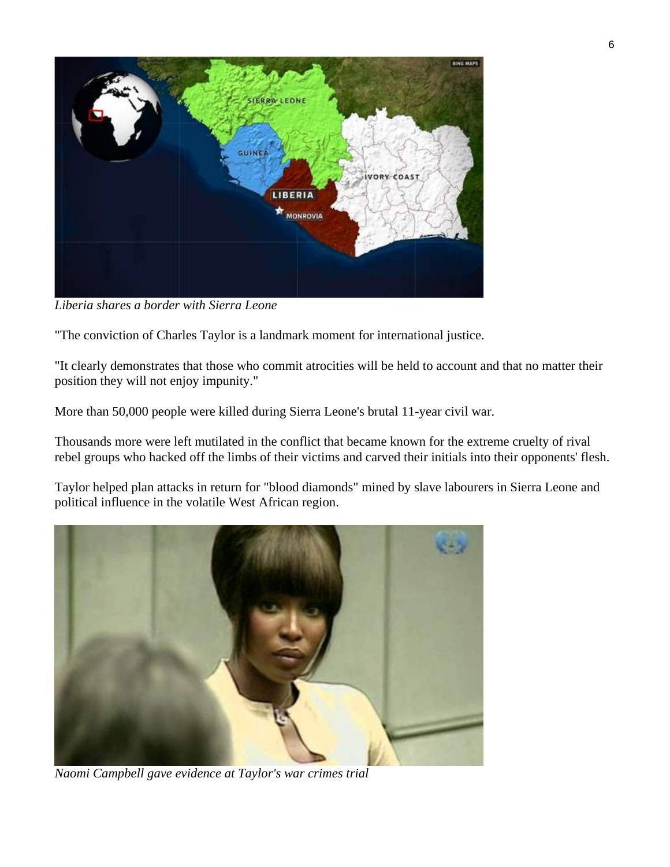

*Liberia shares a border with Sierra Leone* 

"The conviction of Charles Taylor is a landmark moment for international justice.

"It clearly demonstrates that those who commit atrocities will be held to account and that no matter their position they will not enjoy impunity."

More than 50,000 people were killed during Sierra Leone's brutal 11-year civil war.

Thousands more were left mutilated in the conflict that became known for the extreme cruelty of rival rebel groups who hacked off the limbs of their victims and carved their initials into their opponents' flesh.

Taylor helped plan attacks in return for "blood diamonds" mined by slave labourers in Sierra Leone and political influence in the volatile West African region.



*Naomi Campbell gave evidence at Taylor's war crimes trial*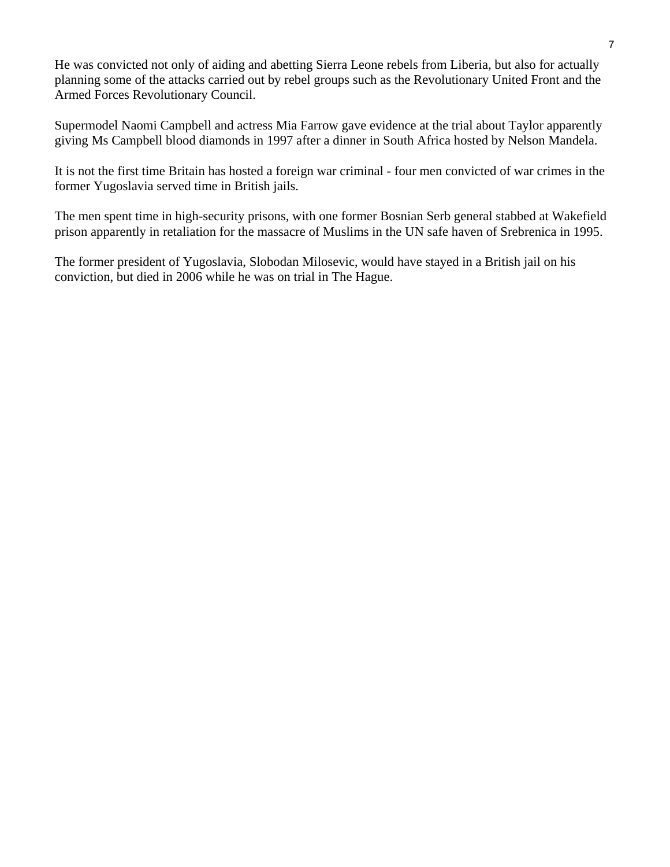He was convicted not only of aiding and abetting Sierra Leone rebels from Liberia, but also for actually planning some of the attacks carried out by rebel groups such as the Revolutionary United Front and the Armed Forces Revolutionary Council.

Supermodel Naomi Campbell and actress Mia Farrow gave evidence at the trial about Taylor apparently giving Ms Campbell blood diamonds in 1997 after a dinner in South Africa hosted by Nelson Mandela.

It is not the first time Britain has hosted a foreign war criminal - four men convicted of war crimes in the former Yugoslavia served time in British jails.

The men spent time in high-security prisons, with one former Bosnian Serb general stabbed at Wakefield prison apparently in retaliation for the massacre of Muslims in the UN safe haven of Srebrenica in 1995.

The former president of Yugoslavia, Slobodan Milosevic, would have stayed in a British jail on his conviction, but died in 2006 while he was on trial in The Hague.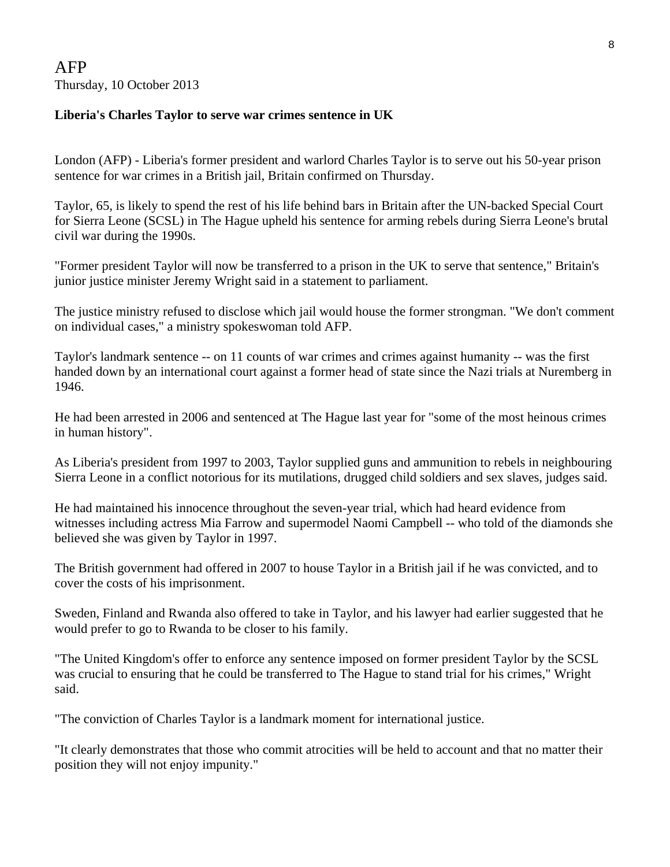## AFP Thursday, 10 October 2013

#### **Liberia's Charles Taylor to serve war crimes sentence in UK**

London (AFP) - Liberia's former president and warlord Charles Taylor is to serve out his 50-year prison sentence for war crimes in a British jail, Britain confirmed on Thursday.

Taylor, 65, is likely to spend the rest of his life behind bars in Britain after the UN-backed Special Court for Sierra Leone (SCSL) in The Hague upheld his sentence for arming rebels during Sierra Leone's brutal civil war during the 1990s.

"Former president Taylor will now be transferred to a prison in the UK to serve that sentence," Britain's junior justice minister Jeremy Wright said in a statement to parliament.

The justice ministry refused to disclose which jail would house the former strongman. "We don't comment on individual cases," a ministry spokeswoman told AFP.

Taylor's landmark sentence -- on 11 counts of war crimes and crimes against humanity -- was the first handed down by an international court against a former head of state since the Nazi trials at Nuremberg in 1946.

He had been arrested in 2006 and sentenced at The Hague last year for "some of the most heinous crimes in human history".

As Liberia's president from 1997 to 2003, Taylor supplied guns and ammunition to rebels in neighbouring Sierra Leone in a conflict notorious for its mutilations, drugged child soldiers and sex slaves, judges said.

He had maintained his innocence throughout the seven-year trial, which had heard evidence from witnesses including actress Mia Farrow and supermodel Naomi Campbell -- who told of the diamonds she believed she was given by Taylor in 1997.

The British government had offered in 2007 to house Taylor in a British jail if he was convicted, and to cover the costs of his imprisonment.

Sweden, Finland and Rwanda also offered to take in Taylor, and his lawyer had earlier suggested that he would prefer to go to Rwanda to be closer to his family.

"The United Kingdom's offer to enforce any sentence imposed on former president Taylor by the SCSL was crucial to ensuring that he could be transferred to The Hague to stand trial for his crimes," Wright said.

"The conviction of Charles Taylor is a landmark moment for international justice.

"It clearly demonstrates that those who commit atrocities will be held to account and that no matter their position they will not enjoy impunity."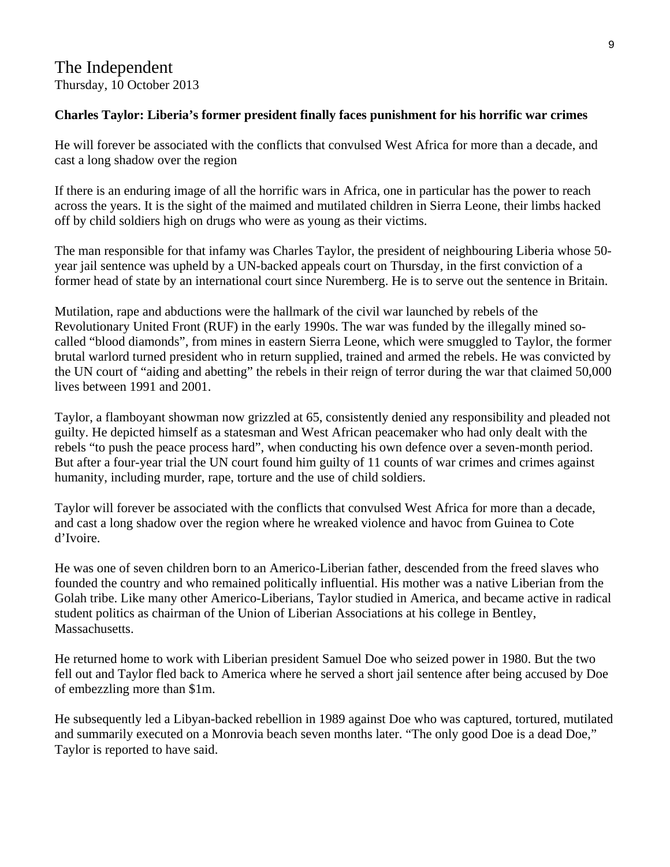## The Independent Thursday, 10 October 2013

#### **Charles Taylor: Liberia's former president finally faces punishment for his horrific war crimes**

He will forever be associated with the conflicts that convulsed West Africa for more than a decade, and cast a long shadow over the region

If there is an enduring image of all the horrific wars in Africa, one in particular has the power to reach across the years. It is the sight of the maimed and mutilated children in Sierra Leone, their limbs hacked off by child soldiers high on drugs who were as young as their victims.

The man responsible for that infamy was Charles Taylor, the president of neighbouring Liberia whose 50 year jail sentence was upheld by a UN-backed appeals court on Thursday, in the first conviction of a former head of state by an international court since Nuremberg. He is to serve out the sentence in Britain.

Mutilation, rape and abductions were the hallmark of the civil war launched by rebels of the Revolutionary United Front (RUF) in the early 1990s. The war was funded by the illegally mined socalled "blood diamonds", from mines in eastern Sierra Leone, which were smuggled to Taylor, the former brutal warlord turned president who in return supplied, trained and armed the rebels. He was convicted by the UN court of "aiding and abetting" the rebels in their reign of terror during the war that claimed 50,000 lives between 1991 and 2001.

Taylor, a flamboyant showman now grizzled at 65, consistently denied any responsibility and pleaded not guilty. He depicted himself as a statesman and West African peacemaker who had only dealt with the rebels "to push the peace process hard", when conducting his own defence over a seven-month period. But after a four-year trial the UN court found him guilty of 11 counts of war crimes and crimes against humanity, including murder, rape, torture and the use of child soldiers.

Taylor will forever be associated with the conflicts that convulsed West Africa for more than a decade, and cast a long shadow over the region where he wreaked violence and havoc from Guinea to Cote d'Ivoire.

He was one of seven children born to an Americo-Liberian father, descended from the freed slaves who founded the country and who remained politically influential. His mother was a native Liberian from the Golah tribe. Like many other Americo-Liberians, Taylor studied in America, and became active in radical student politics as chairman of the Union of Liberian Associations at his college in Bentley, Massachusetts.

He returned home to work with Liberian president Samuel Doe who seized power in 1980. But the two fell out and Taylor fled back to America where he served a short jail sentence after being accused by Doe of embezzling more than \$1m.

He subsequently led a Libyan-backed rebellion in 1989 against Doe who was captured, tortured, mutilated and summarily executed on a Monrovia beach seven months later. "The only good Doe is a dead Doe," Taylor is reported to have said.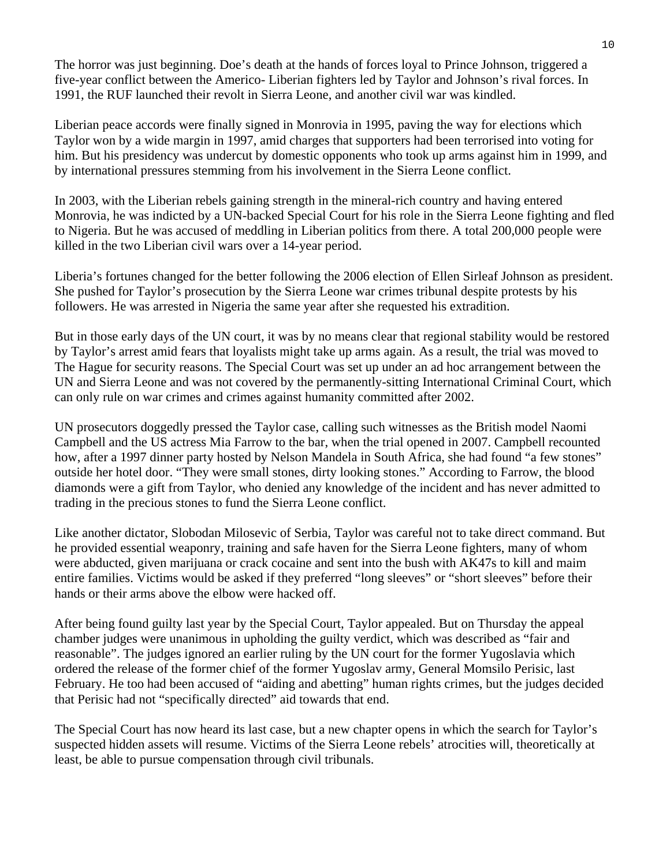The horror was just beginning. Doe's death at the hands of forces loyal to Prince Johnson, triggered a five-year conflict between the Americo- Liberian fighters led by Taylor and Johnson's rival forces. In 1991, the RUF launched their revolt in Sierra Leone, and another civil war was kindled.

Liberian peace accords were finally signed in Monrovia in 1995, paving the way for elections which Taylor won by a wide margin in 1997, amid charges that supporters had been terrorised into voting for him. But his presidency was undercut by domestic opponents who took up arms against him in 1999, and by international pressures stemming from his involvement in the Sierra Leone conflict.

In 2003, with the Liberian rebels gaining strength in the mineral-rich country and having entered Monrovia, he was indicted by a UN-backed Special Court for his role in the Sierra Leone fighting and fled to Nigeria. But he was accused of meddling in Liberian politics from there. A total 200,000 people were killed in the two Liberian civil wars over a 14-year period.

Liberia's fortunes changed for the better following the 2006 election of Ellen Sirleaf Johnson as president. She pushed for Taylor's prosecution by the Sierra Leone war crimes tribunal despite protests by his followers. He was arrested in Nigeria the same year after she requested his extradition.

But in those early days of the UN court, it was by no means clear that regional stability would be restored by Taylor's arrest amid fears that loyalists might take up arms again. As a result, the trial was moved to The Hague for security reasons. The Special Court was set up under an ad hoc arrangement between the UN and Sierra Leone and was not covered by the permanently-sitting International Criminal Court, which can only rule on war crimes and crimes against humanity committed after 2002.

UN prosecutors doggedly pressed the Taylor case, calling such witnesses as the British model Naomi Campbell and the US actress Mia Farrow to the bar, when the trial opened in 2007. Campbell recounted how, after a 1997 dinner party hosted by Nelson Mandela in South Africa, she had found "a few stones" outside her hotel door. "They were small stones, dirty looking stones." According to Farrow, the blood diamonds were a gift from Taylor, who denied any knowledge of the incident and has never admitted to trading in the precious stones to fund the Sierra Leone conflict.

Like another dictator, Slobodan Milosevic of Serbia, Taylor was careful not to take direct command. But he provided essential weaponry, training and safe haven for the Sierra Leone fighters, many of whom were abducted, given marijuana or crack cocaine and sent into the bush with AK47s to kill and maim entire families. Victims would be asked if they preferred "long sleeves" or "short sleeves" before their hands or their arms above the elbow were hacked off.

After being found guilty last year by the Special Court, Taylor appealed. But on Thursday the appeal chamber judges were unanimous in upholding the guilty verdict, which was described as "fair and reasonable". The judges ignored an earlier ruling by the UN court for the former Yugoslavia which ordered the release of the former chief of the former Yugoslav army, General Momsilo Perisic, last February. He too had been accused of "aiding and abetting" human rights crimes, but the judges decided that Perisic had not "specifically directed" aid towards that end.

The Special Court has now heard its last case, but a new chapter opens in which the search for Taylor's suspected hidden assets will resume. Victims of the Sierra Leone rebels' atrocities will, theoretically at least, be able to pursue compensation through civil tribunals.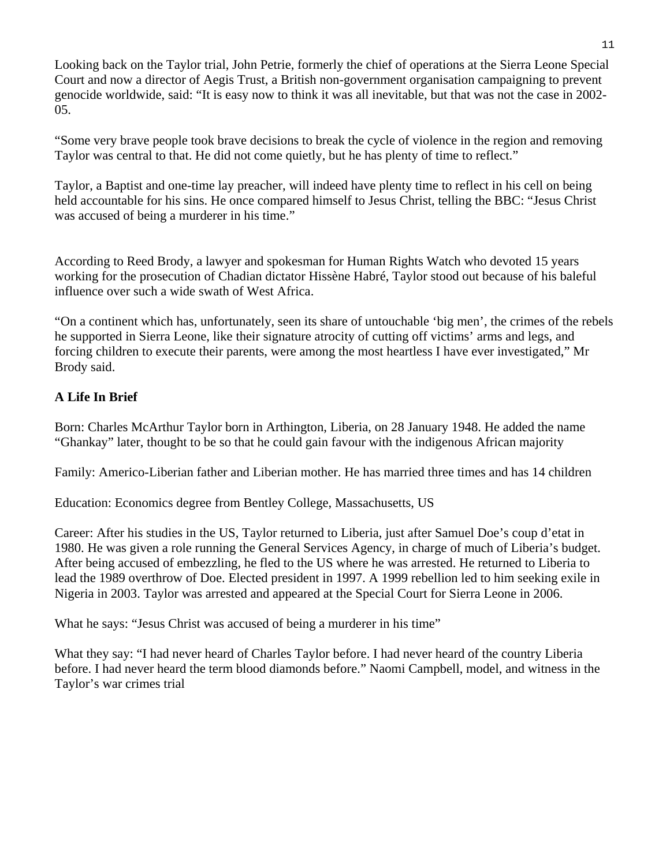Looking back on the Taylor trial, John Petrie, formerly the chief of operations at the Sierra Leone Special Court and now a director of Aegis Trust, a British non-government organisation campaigning to prevent genocide worldwide, said: "It is easy now to think it was all inevitable, but that was not the case in 2002- 05.

"Some very brave people took brave decisions to break the cycle of violence in the region and removing Taylor was central to that. He did not come quietly, but he has plenty of time to reflect."

Taylor, a Baptist and one-time lay preacher, will indeed have plenty time to reflect in his cell on being held accountable for his sins. He once compared himself to Jesus Christ, telling the BBC: "Jesus Christ was accused of being a murderer in his time."

According to Reed Brody, a lawyer and spokesman for Human Rights Watch who devoted 15 years working for the prosecution of Chadian dictator Hissène Habré, Taylor stood out because of his baleful influence over such a wide swath of West Africa.

"On a continent which has, unfortunately, seen its share of untouchable 'big men', the crimes of the rebels he supported in Sierra Leone, like their signature atrocity of cutting off victims' arms and legs, and forcing children to execute their parents, were among the most heartless I have ever investigated," Mr Brody said.

#### **A Life In Brief**

Born: Charles McArthur Taylor born in Arthington, Liberia, on 28 January 1948. He added the name "Ghankay" later, thought to be so that he could gain favour with the indigenous African majority

Family: Americo-Liberian father and Liberian mother. He has married three times and has 14 children

Education: Economics degree from Bentley College, Massachusetts, US

Career: After his studies in the US, Taylor returned to Liberia, just after Samuel Doe's coup d'etat in 1980. He was given a role running the General Services Agency, in charge of much of Liberia's budget. After being accused of embezzling, he fled to the US where he was arrested. He returned to Liberia to lead the 1989 overthrow of Doe. Elected president in 1997. A 1999 rebellion led to him seeking exile in Nigeria in 2003. Taylor was arrested and appeared at the Special Court for Sierra Leone in 2006.

What he says: "Jesus Christ was accused of being a murderer in his time"

What they say: "I had never heard of Charles Taylor before. I had never heard of the country Liberia before. I had never heard the term blood diamonds before." Naomi Campbell, model, and witness in the Taylor's war crimes trial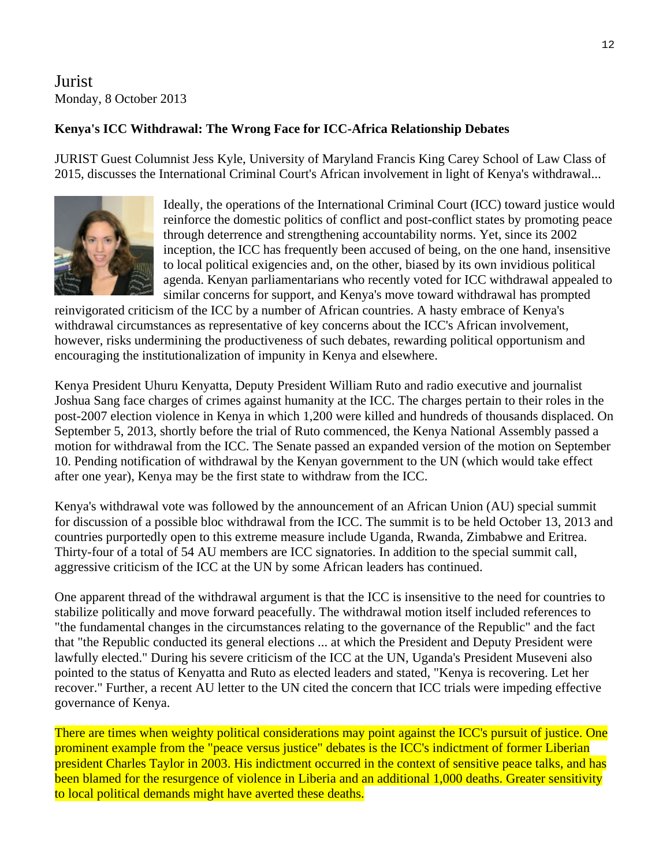## Jurist Monday, 8 October 2013

#### **Kenya's ICC Withdrawal: The Wrong Face for ICC-Africa Relationship Debates**

JURIST Guest Columnist Jess Kyle, University of Maryland Francis King Carey School of Law Class of 2015, discusses the International Criminal Court's African involvement in light of Kenya's withdrawal...



Ideally, the operations of the International Criminal Court (ICC) toward justice would reinforce the domestic politics of conflict and post-conflict states by promoting peace inception, the ICC has frequently been accused of being, on the one hand, insensitive agenda. Kenyan parliamentarians who recently voted for ICC withdrawal appealed to through deterrence and strengthening accountability norms. Yet, since its 2002 to local political exigencies and, on the other, biased by its own invidious political similar concerns for support, and Kenya's move toward withdrawal has prompted

however, risks undermining the productiveness of such debates, rewarding political opportunism and reinvigorated criticism of the ICC by a number of African countries. A hasty embrace of Kenya's withdrawal circumstances as representative of key concerns about the ICC's African involvement, encouraging the institutionalization of impunity in Kenya and elsewhere.

Kenya President Uhuru Kenyatta, Deputy President William Ruto and radio executive and journalist Joshua Sang face charges of crimes against humanity at the ICC. The charges pertain to their roles in the post-2007 election violence in Kenya in which 1,200 were killed and hundreds of thousands displaced. On September 5, 2013, shortly before the trial of Ruto commenced, the Kenya National Assembly passed a motion for withdrawal from the ICC. The Senate passed an expanded version of the motion on September 10. Pending notification of withdrawal by the Kenyan government to the UN (which would take effect after one year), Kenya may be the first state to withdraw from the ICC.

Kenya's withdrawal vote was followed by the announcement of an African Union (AU) special summit for discussion of a possible bloc withdrawal from the ICC. The summit is to be held October 13, 2013 and countries purportedly open to this extreme measure include Uganda, Rwanda, Zimbabwe and Eritrea. Thirty-four of a total of 54 AU members are ICC signatories. In addition to the special summit call, aggressive criticism of the ICC at the UN by some African leaders has continued.

One apparent thread of the withdrawal argument is that the ICC is insensitive to the need for countries to stabilize politically and move forward peacefully. The withdrawal motion itself included references to "the fundamental changes in the circumstances relating to the governance of the Republic" and the fact that "the Republic conducted its general elections ... at which the President and Deputy President were lawfully elected." During his severe criticism of the ICC at the UN, Uganda's President Museveni also pointed to the status of Kenyatta and Ruto as elected leaders and stated, "Kenya is recovering. Let her recover." Further, a recent AU letter to the UN cited the concern that ICC trials were impeding effective governance of Kenya.

There are times when weighty political considerations may point against the ICC's pursuit of justice. One prominent example from the "peace versus justice" debates is the ICC's indictment of former Liberian president Charles Taylor in 2003. His indictment occurred in the context of sensitive peace talks, and has been blamed for the resurgence of violence in Liberia and an additional 1,000 deaths. Greater sensitivity to local political demands might have averted these deaths.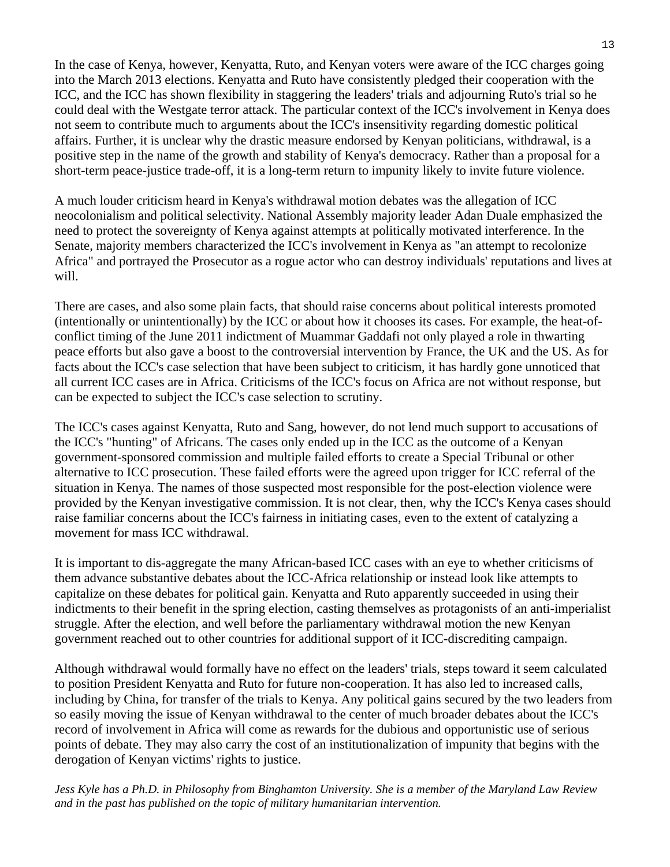In the case of Kenya, however, Kenyatta, Ruto, and Kenyan voters were aware of the ICC charges going into the March 2013 elections. Kenyatta and Ruto have consistently pledged their cooperation with the ICC, and the ICC has shown flexibility in staggering the leaders' trials and adjourning Ruto's trial so he could deal with the Westgate terror attack. The particular context of the ICC's involvement in Kenya does not seem to contribute much to arguments about the ICC's insensitivity regarding domestic political affairs. Further, it is unclear why the drastic measure endorsed by Kenyan politicians, withdrawal, is a positive step in the name of the growth and stability of Kenya's democracy. Rather than a proposal for a short-term peace-justice trade-off, it is a long-term return to impunity likely to invite future violence.

A much louder criticism heard in Kenya's withdrawal motion debates was the allegation of ICC neocolonialism and political selectivity. National Assembly majority leader Adan Duale emphasized the need to protect the sovereignty of Kenya against attempts at politically motivated interference. In the Senate, majority members characterized the ICC's involvement in Kenya as "an attempt to recolonize Africa" and portrayed the Prosecutor as a rogue actor who can destroy individuals' reputations and lives at will.

There are cases, and also some plain facts, that should raise concerns about political interests promoted (intentionally or unintentionally) by the ICC or about how it chooses its cases. For example, the heat-ofconflict timing of the June 2011 indictment of Muammar Gaddafi not only played a role in thwarting peace efforts but also gave a boost to the controversial intervention by France, the UK and the US. As for facts about the ICC's case selection that have been subject to criticism, it has hardly gone unnoticed that all current ICC cases are in Africa. Criticisms of the ICC's focus on Africa are not without response, but can be expected to subject the ICC's case selection to scrutiny.

The ICC's cases against Kenyatta, Ruto and Sang, however, do not lend much support to accusations of the ICC's "hunting" of Africans. The cases only ended up in the ICC as the outcome of a Kenyan government-sponsored commission and multiple failed efforts to create a Special Tribunal or other alternative to ICC prosecution. These failed efforts were the agreed upon trigger for ICC referral of the situation in Kenya. The names of those suspected most responsible for the post-election violence were provided by the Kenyan investigative commission. It is not clear, then, why the ICC's Kenya cases should raise familiar concerns about the ICC's fairness in initiating cases, even to the extent of catalyzing a movement for mass ICC withdrawal.

It is important to dis-aggregate the many African-based ICC cases with an eye to whether criticisms of them advance substantive debates about the ICC-Africa relationship or instead look like attempts to capitalize on these debates for political gain. Kenyatta and Ruto apparently succeeded in using their indictments to their benefit in the spring election, casting themselves as protagonists of an anti-imperialist struggle. After the election, and well before the parliamentary withdrawal motion the new Kenyan government reached out to other countries for additional support of it ICC-discrediting campaign.

Although withdrawal would formally have no effect on the leaders' trials, steps toward it seem calculated to position President Kenyatta and Ruto for future non-cooperation. It has also led to increased calls, including by China, for transfer of the trials to Kenya. Any political gains secured by the two leaders from so easily moving the issue of Kenyan withdrawal to the center of much broader debates about the ICC's record of involvement in Africa will come as rewards for the dubious and opportunistic use of serious points of debate. They may also carry the cost of an institutionalization of impunity that begins with the derogation of Kenyan victims' rights to justice.

*Jess Kyle has a Ph.D. in Philosophy from Binghamton University. She is a member of the Maryland Law Review and in the past has published on the topic of military humanitarian intervention.*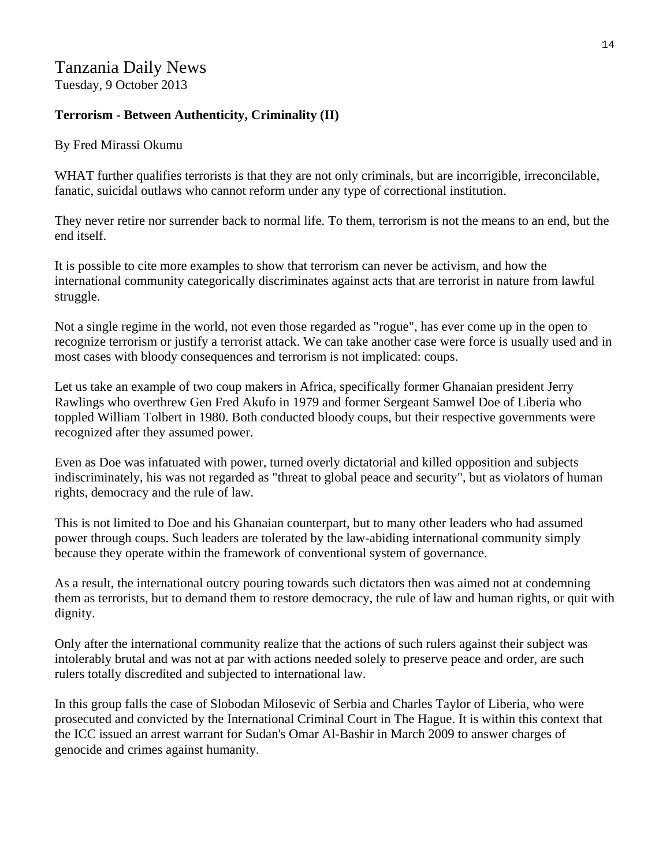## Tanzania Daily News Tuesday, 9 October 2013

#### **Terrorism - Between Authenticity, Criminality (II)**

By Fred Mirassi Okumu

WHAT further qualifies terrorists is that they are not only criminals, but are incorrigible, irreconcilable, fanatic, suicidal outlaws who cannot reform under any type of correctional institution.

They never retire nor surrender back to normal life. To them, terrorism is not the means to an end, but the end itself.

It is possible to cite more examples to show that terrorism can never be activism, and how the international community categorically discriminates against acts that are terrorist in nature from lawful struggle.

Not a single regime in the world, not even those regarded as "rogue", has ever come up in the open to recognize terrorism or justify a terrorist attack. We can take another case were force is usually used and in most cases with bloody consequences and terrorism is not implicated: coups.

Let us take an example of two coup makers in Africa, specifically former Ghanaian president Jerry Rawlings who overthrew Gen Fred Akufo in 1979 and former Sergeant Samwel Doe of Liberia who toppled William Tolbert in 1980. Both conducted bloody coups, but their respective governments were recognized after they assumed power.

Even as Doe was infatuated with power, turned overly dictatorial and killed opposition and subjects indiscriminately, his was not regarded as "threat to global peace and security", but as violators of human rights, democracy and the rule of law.

This is not limited to Doe and his Ghanaian counterpart, but to many other leaders who had assumed power through coups. Such leaders are tolerated by the law-abiding international community simply because they operate within the framework of conventional system of governance.

As a result, the international outcry pouring towards such dictators then was aimed not at condemning them as terrorists, but to demand them to restore democracy, the rule of law and human rights, or quit with dignity.

Only after the international community realize that the actions of such rulers against their subject was intolerably brutal and was not at par with actions needed solely to preserve peace and order, are such rulers totally discredited and subjected to international law.

In this group falls the case of Slobodan Milosevic of Serbia and Charles Taylor of Liberia, who were prosecuted and convicted by the International Criminal Court in The Hague. It is within this context that the ICC issued an arrest warrant for Sudan's Omar Al-Bashir in March 2009 to answer charges of genocide and crimes against humanity.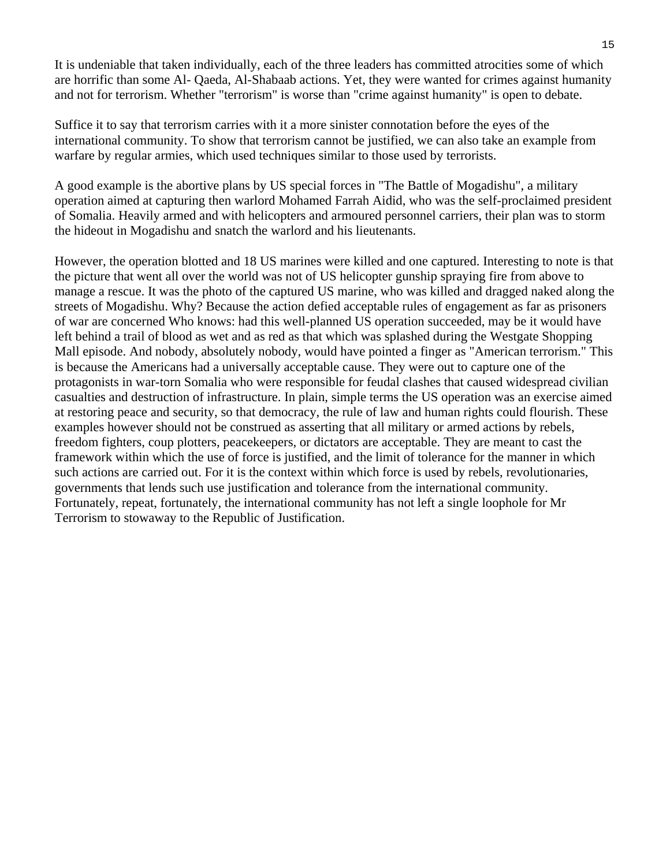It is undeniable that taken individually, each of the three leaders has committed atrocities some of which are horrific than some Al- Qaeda, Al-Shabaab actions. Yet, they were wanted for crimes against humanity and not for terrorism. Whether "terrorism" is worse than "crime against humanity" is open to debate.

Suffice it to say that terrorism carries with it a more sinister connotation before the eyes of the international community. To show that terrorism cannot be justified, we can also take an example from warfare by regular armies, which used techniques similar to those used by terrorists.

A good example is the abortive plans by US special forces in "The Battle of Mogadishu", a military operation aimed at capturing then warlord Mohamed Farrah Aidid, who was the self-proclaimed president of Somalia. Heavily armed and with helicopters and armoured personnel carriers, their plan was to storm the hideout in Mogadishu and snatch the warlord and his lieutenants.

However, the operation blotted and 18 US marines were killed and one captured. Interesting to note is that the picture that went all over the world was not of US helicopter gunship spraying fire from above to manage a rescue. It was the photo of the captured US marine, who was killed and dragged naked along the streets of Mogadishu. Why? Because the action defied acceptable rules of engagement as far as prisoners of war are concerned Who knows: had this well-planned US operation succeeded, may be it would have left behind a trail of blood as wet and as red as that which was splashed during the Westgate Shopping Mall episode. And nobody, absolutely nobody, would have pointed a finger as "American terrorism." This is because the Americans had a universally acceptable cause. They were out to capture one of the protagonists in war-torn Somalia who were responsible for feudal clashes that caused widespread civilian casualties and destruction of infrastructure. In plain, simple terms the US operation was an exercise aimed at restoring peace and security, so that democracy, the rule of law and human rights could flourish. These examples however should not be construed as asserting that all military or armed actions by rebels, freedom fighters, coup plotters, peacekeepers, or dictators are acceptable. They are meant to cast the framework within which the use of force is justified, and the limit of tolerance for the manner in which such actions are carried out. For it is the context within which force is used by rebels, revolutionaries, governments that lends such use justification and tolerance from the international community. Fortunately, repeat, fortunately, the international community has not left a single loophole for Mr Terrorism to stowaway to the Republic of Justification.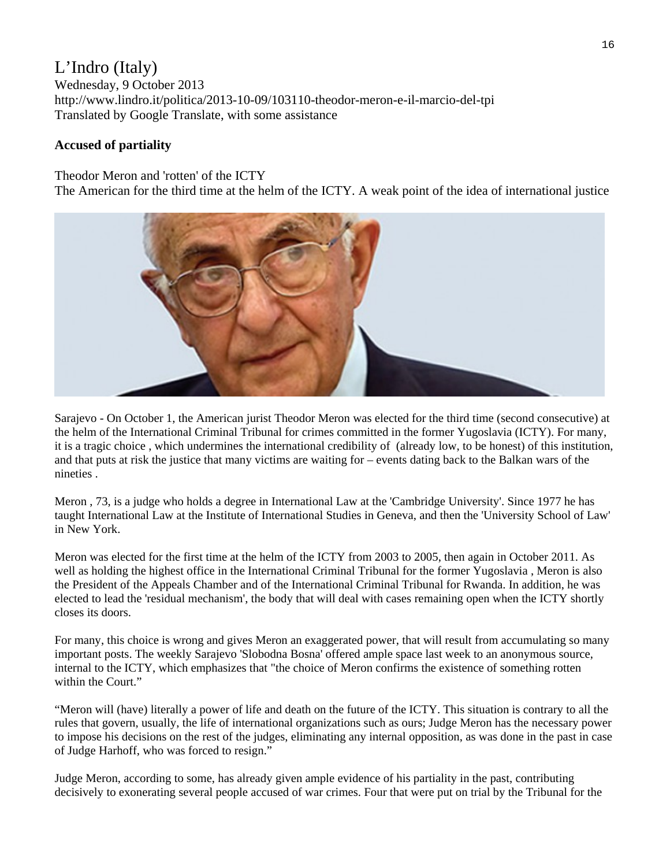## L'Indro (Italy)

Wednesday, 9 October 2013 http://www.lindro.it/politica/2013-10-09/103110-theodor-meron-e-il-marcio-del-tpi Translated by Google Translate, with some assistance

#### **Accused of partiality**

Theodor Meron and 'rotten' of the ICTY

The American for the third time at the helm of the ICTY. A weak point of the idea of international justice



Sarajevo - On October 1, the American jurist Theodor Meron was elected for the third time (second consecutive) at the helm of the International Criminal Tribunal for crimes committed in the former Yugoslavia (ICTY). For many, it is a tragic choice , which undermines the international credibility of (already low, to be honest) of this institution, and that puts at risk the justice that many victims are waiting for – events dating back to the Balkan wars of the nineties .

Meron , 73, is a judge who holds a degree in International Law at the 'Cambridge University'. Since 1977 he has taught International Law at the Institute of International Studies in Geneva, and then the 'University School of Law' in New York.

Meron was elected for the first time at the helm of the ICTY from 2003 to 2005, then again in October 2011. As well as holding the highest office in the International Criminal Tribunal for the former Yugoslavia , Meron is also the President of the Appeals Chamber and of the International Criminal Tribunal for Rwanda. In addition, he was elected to lead the 'residual mechanism', the body that will deal with cases remaining open when the ICTY shortly closes its doors.

For many, this choice is wrong and gives Meron an exaggerated power, that will result from accumulating so many important posts. The weekly Sarajevo 'Slobodna Bosna' offered ample space last week to an anonymous source, internal to the ICTY, which emphasizes that "the choice of Meron confirms the existence of something rotten within the Court."

"Meron will (have) literally a power of life and death on the future of the ICTY. This situation is contrary to all the rules that govern, usually, the life of international organizations such as ours; Judge Meron has the necessary power to impose his decisions on the rest of the judges, eliminating any internal opposition, as was done in the past in case of Judge Harhoff, who was forced to resign."

Judge Meron, according to some, has already given ample evidence of his partiality in the past, contributing decisively to exonerating several people accused of war crimes. Four that were put on trial by the Tribunal for the